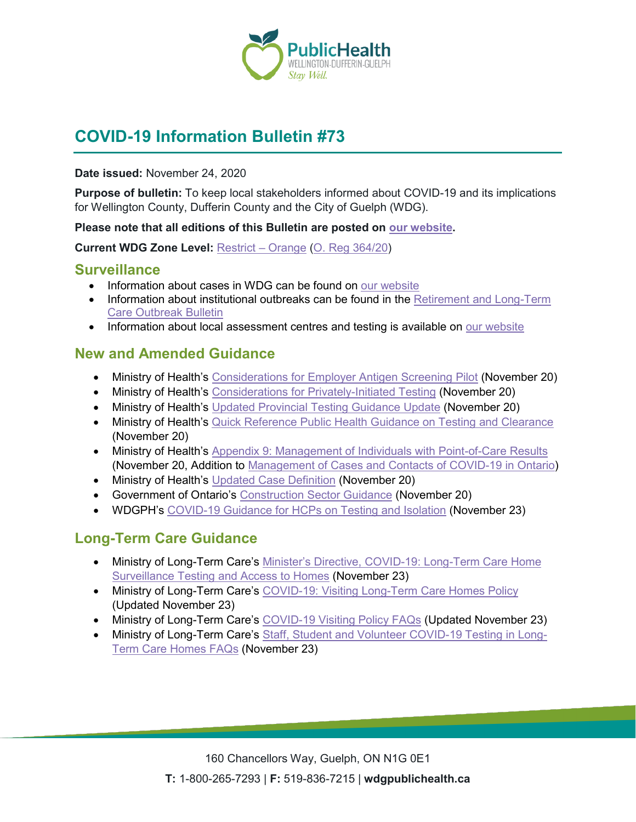

# **COVID-19 Information Bulletin #73**

#### **Date issued:** November 24, 2020

**Purpose of bulletin:** To keep local stakeholders informed about COVID-19 and its implications for Wellington County, Dufferin County and the City of Guelph (WDG).

#### **Please note that all editions of this Bulletin are posted on [our website.](https://www.wdgpublichealth.ca/your-health/covid-19-information-workplaces-and-living-spaces/community-stakeholder-bulletins)**

**Current WDG Zone Level:** [Restrict –](https://www.ontario.ca/page/covid-19-response-framework-keeping-ontario-safe-and-open#orange) Orange [\(O. Reg 364/20\)](https://www.ontario.ca/laws/regulation/200364)

#### **Surveillance**

- Information about cases in WDG can be found on [our website](https://wdgpublichealth.ca/your-health/covid-19-information-public/status-cases-wdg)
- Information about institutional outbreaks can be found in the Retirement and Long-Term [Care Outbreak Bulletin](https://wdgpublichealth.ca/node/1542)
- Information about local assessment centres and testing is available on [our website](https://www.wdgpublichealth.ca/your-health/covid-19-information-public/assessment-centres-wdg)

#### **New and Amended Guidance**

- Ministry of Health's [Considerations for Employer Antigen Screening Pilot](http://www.health.gov.on.ca/en/pro/programs/publichealth/coronavirus/docs/considerations_employer_rapid_antigen_screening_pilot.pdf) (November 20)
- Ministry of Health's [Considerations for Privately-Initiated Testing](http://www.health.gov.on.ca/en/pro/programs/publichealth/coronavirus/docs/Considerations_for_Privately-Initiated_Testing.pdf) (November 20)
- Ministry of Health's [Updated Provincial Testing Guidance](http://www.health.gov.on.ca/en/pro/programs/publichealth/coronavirus/docs/2019_testing_guidance.pdf) Update (November 20)
- Ministry of Health's [Quick Reference Public Health Guidance on Testing and Clearance](http://www.health.gov.on.ca/en/pro/programs/publichealth/coronavirus/docs/2019_testing_clearing_cases_guidance.pdf) (November 20)
- Ministry of Health's [Appendix 9: Management of Individuals with Point-of-Care Results](http://www.health.gov.on.ca/en/pro/programs/publichealth/coronavirus/docs/app9_management_individuals_point_of_care_results.pdf) (November 20, Addition to [Management of Cases and Contacts of COVID-19 in Ontario\)](http://www.health.gov.on.ca/en/pro/programs/publichealth/coronavirus/docs/contact_mngmt/management_cases_contacts.pdf)
- Ministry of Health's [Updated Case Definition](http://www.health.gov.on.ca/en/pro/programs/publichealth/coronavirus/docs/2019_case_definition.pdf) (November 20)
- Government of Ontario's [Construction Sector Guidance](https://www.ontario.ca/page/construction-site-health-and-safety-during-covid-19) (November 20)
- WDGPH's [COVID-19 Guidance for HCPs on Testing and Isolation](https://www.wdgpublichealth.ca/sites/default/files/wdgph_covid-19_guidance_for_hcps_testing_and_isolation_nov_23_2020.pdf) (November 23)

# **Long-Term Care Guidance**

- Ministry of Long-Term Care's [Minister's Directive, COVID-19: Long-Term Care Home](https://www.ontario.ca/page/covid-19-long-term-care-home-surveillance-testing?_ga=2.155878014.450576348.1606161219-1106436773.1593184387)  [Surveillance Testing and Access to Homes](https://www.ontario.ca/page/covid-19-long-term-care-home-surveillance-testing?_ga=2.155878014.450576348.1606161219-1106436773.1593184387) (November 23)
- Ministry of Long-Term Care's COVID-19: Visiting [Long-Term Care Homes Policy](https://www.ontario.ca/page/covid-19-visiting-long-term-care-homes) (Updated November 23)
- Ministry of Long-Term Care's [COVID-19 Visiting Policy FAQs](https://ohwestcovid19.ca/wp-content/uploads/2020/11/20201124-FAQs-COVID-19-Visiting-Policy-Nov-23-2020.pdf) (Updated November 23)
- Ministry of Long-Term Care's [Staff, Student and Volunteer COVID-19 Testing in Long-](https://ohwestcovid19.ca/wp-content/uploads/2020/11/20201124-FAQs-Staff-Student-and-Volunteer-Testing-Nov-23-2020.pdf)Term [Care Homes FAQs](https://ohwestcovid19.ca/wp-content/uploads/2020/11/20201124-FAQs-Staff-Student-and-Volunteer-Testing-Nov-23-2020.pdf) (November 23)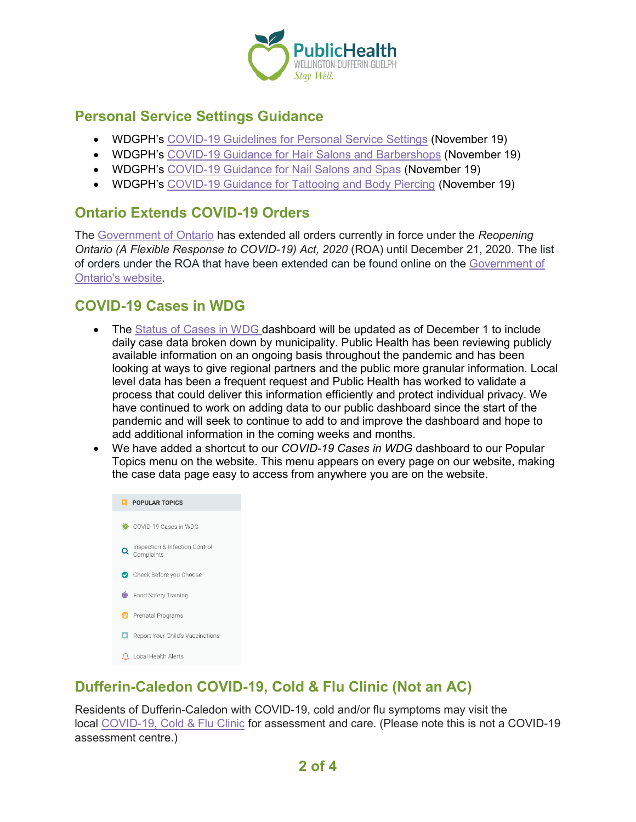

### **Personal Service Settings Guidance**

- WDGPH's [COVID-19 Guidelines for Personal Service Settings](https://www.wdgpublichealth.ca/sites/default/files/wdg_pss_covid-19_guidelines_orange_restrict_red_control_nov_19_2020.pdf) (November 19)
- WDGPH's [COVID-19 Guidance for Hair Salons and Barbershops](https://www.wdgpublichealth.ca/sites/default/files/wdg_hair_salon_fact_sheet_orange_protect_red_control_nov_19_2020.pdf) (November 19)
- WDGPH's [COVID-19 Guidance for Nail Salons and Spas](https://www.wdgpublichealth.ca/sites/default/files/wdg_nail_salon_fact_sheet_orange_restrict_red_control_nov_19_2020.pdf) (November 19)
- WDGPH's [COVID-19 Guidance for Tattooing and Body Piercing](https://www.wdgpublichealth.ca/sites/default/files/wdg_tattoo_studio_fact_sheet_orange_restrict_red_control_nov_19_2020.pdf) (November 19)

### **Ontario Extends COVID-19 Orders**

The [Government of Ontario](https://news.ontario.ca/en/release/59282/ontario-extends-covid-19-orders) has extended all orders currently in force under the *Reopening Ontario (A Flexible Response to COVID-19) Act, 2020* (ROA) until December 21, 2020. The list of orders under the ROA that have been extended can be found online on the [Government of](https://www.ontario.ca/laws/statute/20r17)  [Ontario's website.](https://www.ontario.ca/laws/statute/20r17)

### **COVID-19 Cases in WDG**

- The [Status of Cases in WDG](https://wdgpublichealth.ca/your-health/covid-19-information-public/status-cases-wdg) dashboard will be updated as of December 1 to include daily case data broken down by municipality. Public Health has been reviewing publicly available information on an ongoing basis throughout the pandemic and has been looking at ways to give regional partners and the public more granular information. Local level data has been a frequent request and Public Health has worked to validate a process that could deliver this information efficiently and protect individual privacy. We have continued to work on adding data to our public dashboard since the start of the pandemic and will seek to continue to add to and improve the dashboard and hope to add additional information in the coming weeks and months.
- We have added a shortcut to our *COVID-19 Cases in WDG* dashboard to our Popular Topics menu on the website. This menu appears on every page on our website, making the case data page easy to access from anywhere you are on the website.



# **Dufferin-Caledon COVID-19, Cold & Flu Clinic (Not an AC)**

Residents of Dufferin-Caledon with COVID-19, cold and/or flu symptoms may visit the local [COVID-19, Cold](https://wdgpublichealth.ca/your-health/covid-19-information-public/testing-and-assessment-centres-wdg/dufferin-caledon-covid-19) & Flu Clinic for assessment and care. (Please note this is not a COVID-19 assessment centre.)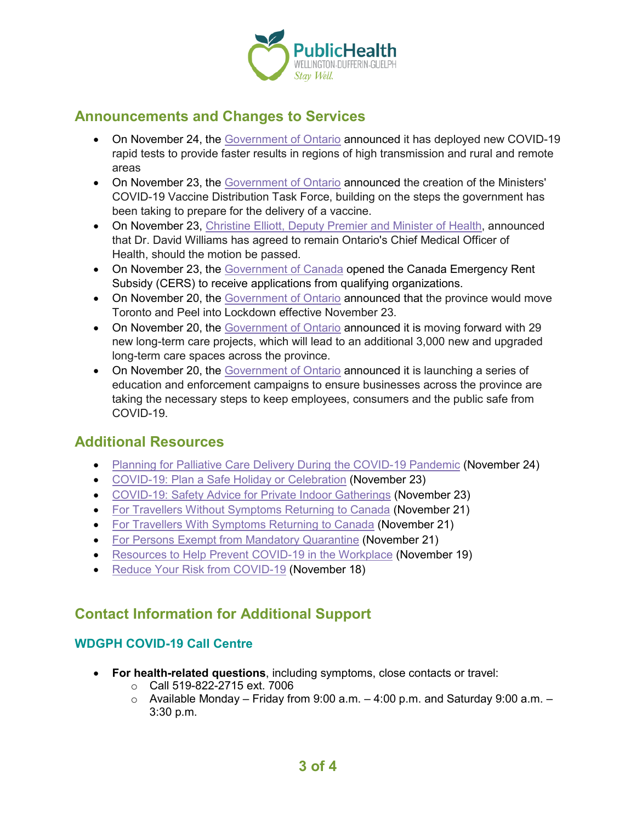

#### **Announcements and Changes to Services**

- On November 24, the [Government of Ontario](https://news.ontario.ca/en/release/59330/ontario-deploys-rapid-testing-to-support-covid-19-response) announced it has deployed new COVID-19 rapid tests to provide faster results in regions of high transmission and rural and remote areas
- On November 23, the [Government of Ontario](https://news.ontario.ca/en/release/59318/ontario-appoints-new-ministers-covid-19-vaccine-distribution-task-force) announced the creation of the Ministers' COVID-19 Vaccine Distribution Task Force, building on the steps the government has been taking to prepare for the delivery of a vaccine.
- On November 23, [Christine Elliott, Deputy Premier and Minister of Health,](https://news.ontario.ca/en/statement/59315/motion-tabled-to-reappoint-chief-medical-officer-of-health) announced that Dr. David Williams has agreed to remain Ontario's Chief Medical Officer of Health, should the motion be passed.
- On November 23, the [Government of Canada](https://www.canada.ca/en/revenue-agency/news/2020/11/canada-revenue-agency-opens-applications-for-the-canada-emergency-rent-subsidy.html) opened the Canada Emergency Rent Subsidy (CERS) to receive applications from qualifying organizations.
- On November 20, the [Government of Ontario](https://news.ontario.ca/en/release/59305/ontario-taking-further-action-to-stop-the-spread-of-covid-19) announced that the province would move Toronto and Peel into Lockdown effective November 23.
- On November 20, the [Government of Ontario](https://news.ontario.ca/en/release/59292/ontario-adding-3000-new-and-upgraded-long-term-care-spaces) announced it is moving forward with 29 new long-term care projects, which will lead to an additional 3,000 new and upgraded long-term care spaces across the province.
- On November 20, the [Government of Ontario](https://news.ontario.ca/en/release/59276/ontario-launches-workplace-education-and-enforcement-campaigns) announced it is launching a series of education and enforcement campaigns to ensure businesses across the province are taking the necessary steps to keep employees, consumers and the public safe from COVID-19.

#### **Additional Resources**

- [Planning for Palliative Care Delivery During the COVID-19 Pandemic](https://ohwestcovid19.ca/wp-content/uploads/2020/11/20201124-Planning-for-Palliative-Care-During-COVID-Nov-12-2020.pdf) (November 24)
- [COVID-19: Plan a Safe Holiday or Celebration](https://www.canada.ca/en/public-health/services/diseases/2019-novel-coronavirus-infection/guidance-documents/plan-safe-holiday-celebration.html) (November 23)
- [COVID-19: Safety Advice for Private Indoor Gatherings](https://www.canada.ca/en/public-health/services/diseases/2019-novel-coronavirus-infection/prevention-risks/measures-reduce-community/private-indoor-gatherings.html) (November 23)
- [For Travellers Without Symptoms Returning to Canada](https://www.canada.ca/en/public-health/services/publications/diseases-conditions/2019-novel-coronavirus-information-sheet.html) (November 21)
- [For Travellers With Symptoms Returning to Canada](https://www.canada.ca/en/public-health/services/publications/diseases-conditions/travellers-with-symptoms-return-canada.html) (November 21)
- [For Persons Exempt from Mandatory Quarantine](https://www.canada.ca/en/public-health/services/publications/diseases-conditions/covid-19-information-essential-service-workers.html) (November 21)
- [Resources to Help Prevent COVID-19 in the Workplace](https://www.ontario.ca/page/resources-prevent-covid-19-workplace) (November 19)
- [Reduce Your Risk from COVID-19](https://www.publichealthontario.ca/-/media/documents/ncov/factsheet/2020/05/factsheet-covid-19-immunocompromised.pdf?la=en) (November 18)

#### **Contact Information for Additional Support**

#### **WDGPH COVID-19 Call Centre**

- **For health-related questions**, including symptoms, close contacts or travel:
	- o Call 519-822-2715 ext. 7006
	- $\circ$  Available Monday Friday from 9:00 a.m. 4:00 p.m. and Saturday 9:00 a.m. 3:30 p.m.